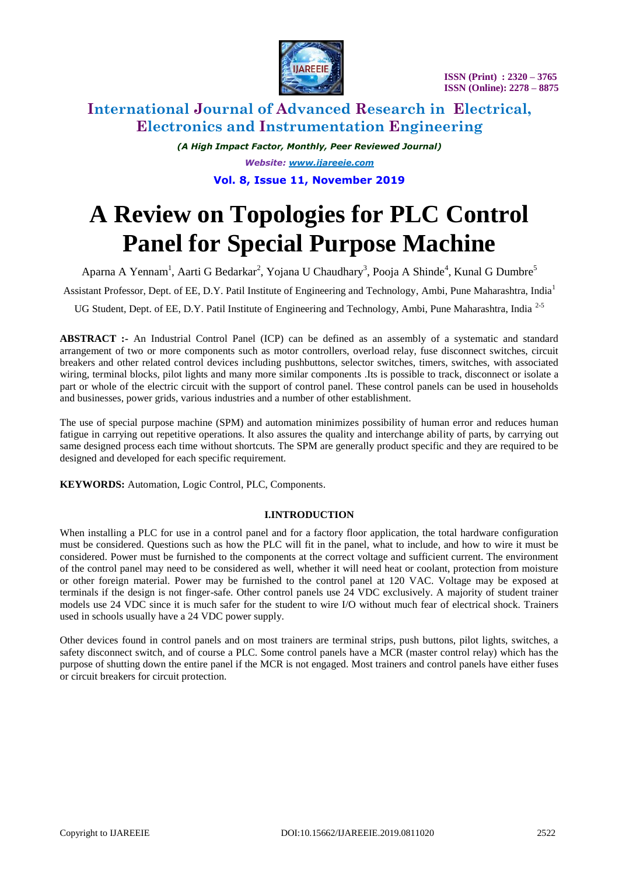

 **ISSN (Print) : 2320 – 3765 ISSN (Online): 2278 – 8875**

# **International Journal of Advanced Research in Electrical, Electronics and Instrumentation Engineering**

*(A High Impact Factor, Monthly, Peer Reviewed Journal) Website: [www.ijareeie.com](http://www.ijareeie.com/)* **Vol. 8, Issue 11, November 2019**

# **A Review on Topologies for PLC Control Panel for Special Purpose Machine**

Aparna A Yennam<sup>1</sup>, Aarti G Bedarkar<sup>2</sup>, Yojana U Chaudhary<sup>3</sup>, Pooja A Shinde<sup>4</sup>, Kunal G Dumbre<sup>5</sup>

Assistant Professor, Dept. of EE, D.Y. Patil Institute of Engineering and Technology, Ambi, Pune Maharashtra, India<sup>1</sup>

UG Student, Dept. of EE, D.Y. Patil Institute of Engineering and Technology, Ambi, Pune Maharashtra, India 2-5

**ABSTRACT :-** An Industrial Control Panel (ICP) can be defined as an assembly of a systematic and standard arrangement of two or more components such as motor controllers, overload relay, fuse disconnect switches, circuit breakers and other related control devices including pushbuttons, selector switches, timers, switches, with associated wiring, terminal blocks, pilot lights and many more similar components .Its is possible to track, disconnect or isolate a part or whole of the electric circuit with the support of control panel. These control panels can be used in households and businesses, power grids, various industries and a number of other establishment.

The use of special purpose machine (SPM) and automation minimizes possibility of human error and reduces human fatigue in carrying out repetitive operations. It also assures the quality and interchange ability of parts, by carrying out same designed process each time without shortcuts. The SPM are generally product specific and they are required to be designed and developed for each specific requirement.

**KEYWORDS:** Automation, Logic Control, PLC, Components.

## **I.INTRODUCTION**

When installing a PLC for use in a control panel and for a factory floor application, the total hardware configuration must be considered. Questions such as how the PLC will fit in the panel, what to include, and how to wire it must be considered. Power must be furnished to the components at the correct voltage and sufficient current. The environment of the control panel may need to be considered as well, whether it will need heat or coolant, protection from moisture or other foreign material. Power may be furnished to the control panel at 120 VAC. Voltage may be exposed at terminals if the design is not finger-safe. Other control panels use 24 VDC exclusively. A majority of student trainer models use 24 VDC since it is much safer for the student to wire I/O without much fear of electrical shock. Trainers used in schools usually have a 24 VDC power supply.

Other devices found in control panels and on most trainers are terminal strips, push buttons, pilot lights, switches, a safety disconnect switch, and of course a PLC. Some control panels have a MCR (master control relay) which has the purpose of shutting down the entire panel if the MCR is not engaged. Most trainers and control panels have either fuses or circuit breakers for circuit protection.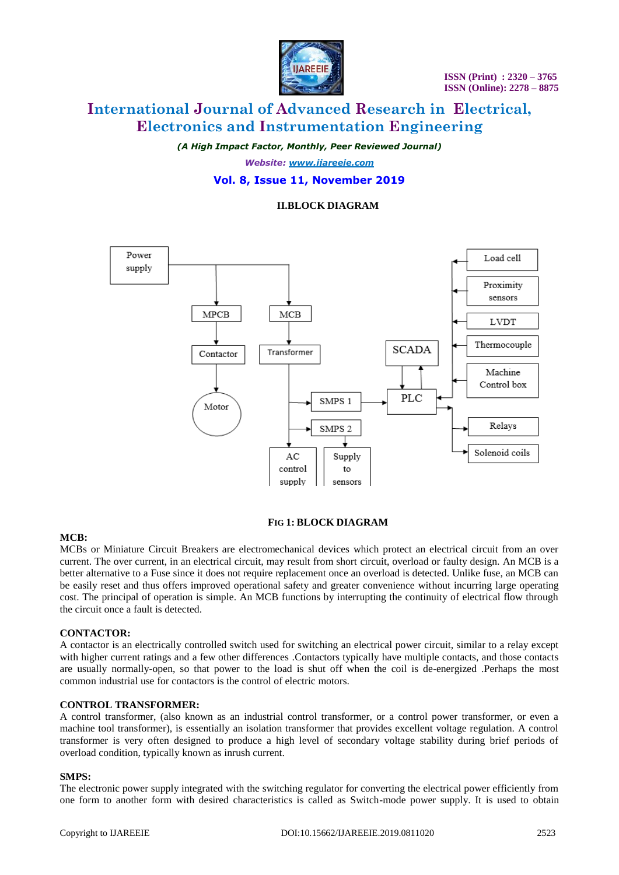

# **International Journal of Advanced Research in Electrical, Electronics and Instrumentation Engineering**

*(A High Impact Factor, Monthly, Peer Reviewed Journal)*

*Website: [www.ijareeie.com](http://www.ijareeie.com/)* **Vol. 8, Issue 11, November 2019**

## **II.BLOCK DIAGRAM**



## **FIG 1: BLOCK DIAGRAM**

#### **MCB:**

MCBs or Miniature Circuit Breakers are electromechanical devices which protect an electrical circuit from an over current. The over current, in an electrical circuit, may result from short circuit, overload or faulty design. An MCB is a better alternative to a Fuse since it does not require replacement once an overload is detected. Unlike fuse, an MCB can be easily reset and thus offers improved operational safety and greater convenience without incurring large operating cost. The principal of operation is simple. An MCB functions by interrupting the continuity of electrical flow through the circuit once a fault is detected.

#### **CONTACTOR:**

A contactor is an electrically controlled switch used for switching an electrical power circuit, similar to a relay except with higher current ratings and a few other differences .Contactors typically have multiple contacts, and those contacts are usually normally-open, so that power to the load is shut off when the coil is de-energized .Perhaps the most common industrial use for contactors is the control of electric motors.

#### **CONTROL TRANSFORMER:**

A control transformer, (also known as an industrial control transformer, or a control power transformer, or even a machine tool transformer), is essentially an isolation transformer that provides excellent voltage regulation. A control transformer is very often designed to produce a high level of secondary voltage stability during brief periods of overload condition, typically known as inrush current.

#### **SMPS:**

The electronic power supply integrated with the switching regulator for converting the electrical power efficiently from one form to another form with desired characteristics is called as Switch-mode power supply. It is used to obtain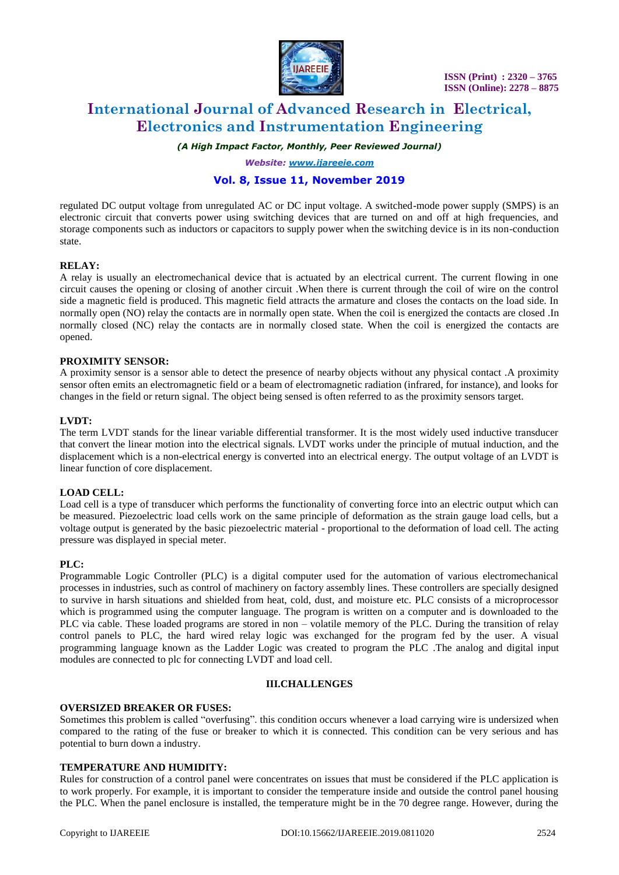

 **ISSN (Print) : 2320 – 3765 ISSN (Online): 2278 – 8875**

# **International Journal of Advanced Research in Electrical, Electronics and Instrumentation Engineering**

*(A High Impact Factor, Monthly, Peer Reviewed Journal)*

*Website: [www.ijareeie.com](http://www.ijareeie.com/)*

## **Vol. 8, Issue 11, November 2019**

regulated DC output voltage from unregulated AC or DC input voltage. A switched-mode power supply (SMPS) is an electronic circuit that converts power using switching devices that are turned on and off at high frequencies, and storage components such as inductors or capacitors to supply power when the switching device is in its non-conduction state.

#### **RELAY:**

A relay is usually an electromechanical device that is actuated by an electrical current. The current flowing in one circuit causes the opening or closing of another circuit .When there is current through the coil of wire on the control side a magnetic field is produced. This magnetic field attracts the armature and closes the contacts on the load side. In normally open (NO) relay the contacts are in normally open state. When the coil is energized the contacts are closed .In normally closed (NC) relay the contacts are in normally closed state. When the coil is energized the contacts are opened.

#### **PROXIMITY SENSOR:**

A proximity sensor is a sensor able to detect the presence of nearby objects without any physical contact .A proximity sensor often emits an electromagnetic field or a beam of electromagnetic radiation (infrared, for instance), and looks for changes in the field or return signal. The object being sensed is often referred to as the proximity sensors target.

#### **LVDT:**

The term LVDT stands for the linear variable differential transformer. It is the most widely used inductive transducer that convert the linear motion into the electrical signals. LVDT works under the principle of mutual induction, and the displacement which is a non-electrical energy is converted into an electrical energy. The output voltage of an LVDT is linear function of core displacement.

#### **LOAD CELL:**

Load cell is a type of transducer which performs the functionality of converting force into an electric output which can be measured. Piezoelectric load cells work on the same principle of deformation as the strain gauge load cells, but a voltage output is generated by the basic piezoelectric material - proportional to the deformation of load cell. The acting pressure was displayed in special meter.

#### **PLC:**

Programmable Logic Controller (PLC) is a digital computer used for the automation of various electromechanical processes in industries, such as control of machinery on factory assembly lines. These controllers are specially designed to survive in harsh situations and shielded from heat, cold, dust, and moisture etc. PLC consists of a microprocessor which is programmed using the computer language. The program is written on a computer and is downloaded to the PLC via cable. These loaded programs are stored in non – volatile memory of the PLC. During the transition of relay control panels to PLC, the hard wired relay logic was exchanged for the program fed by the user. A visual programming language known as the Ladder Logic was created to program the PLC .The analog and digital input modules are connected to plc for connecting LVDT and load cell.

#### **III.CHALLENGES**

#### **OVERSIZED BREAKER OR FUSES:**

Sometimes this problem is called "overfusing". this condition occurs whenever a load carrying wire is undersized when compared to the rating of the fuse or breaker to which it is connected. This condition can be very serious and has potential to burn down a industry.

#### **TEMPERATURE AND HUMIDITY:**

Rules for construction of a control panel were concentrates on issues that must be considered if the PLC application is to work properly. For example, it is important to consider the temperature inside and outside the control panel housing the PLC. When the panel enclosure is installed, the temperature might be in the 70 degree range. However, during the